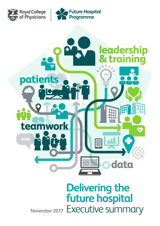





# **Delivering the future hospital November 2017** Executive summary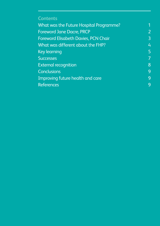# **Contents**

| $\overline{2}$<br><b>Foreword Jane Dacre, PRCP</b><br>$\overline{3}$<br><b>Foreword Elisabeth Davies, PCN Chair</b> |
|---------------------------------------------------------------------------------------------------------------------|
|                                                                                                                     |
|                                                                                                                     |
| $\overline{4}$<br>What was different about the FHP?                                                                 |
| 5<br><b>Key learning</b>                                                                                            |
| $\overline{7}$<br><b>Successes</b>                                                                                  |
| 8<br><b>External recognition</b>                                                                                    |
| 9<br><b>Conclusions</b>                                                                                             |
| 9<br>Improving future health and care                                                                               |
| 9<br><b>References</b>                                                                                              |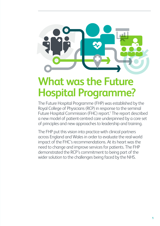<span id="page-2-0"></span>

# **What was the Future Hospital Programme?**

The Future Hospital Programme (FHP) was established by the Royal College of Physicians (RCP) in response to the seminal Future Hospital Commission (FHC) report.<sup>1</sup> The report described a new model of patient-centred care underpinned by a core set of principles and new approaches to leadership and training.

The FHP put this vision into practice with clinical partners across England and Wales in order to evaluate the real-world impact of the FHC's recommendations. At its heart was the need to change and improve services for patients. The FHP demonstrated the RCP's commitment to being part of the wider solution to the challenges being faced by the NHS.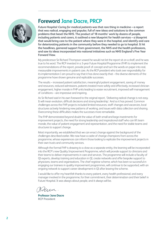<span id="page-3-0"></span>

## **Foreword Jane Dacre, PRCP**

*Future Hospital: Caring for medical patients* **was that rare thing in medicine – a report that was radical, engaging and popular, full of new ideas and solutions to the common problems that beset the NHS. The product of 18 months' work by dozens of people, including patients and carers, it outlined a new blueprint for health services – a blueprint that would bring care to the patient where they were in the hospital, and identify and care for deteriorating patients in the community before they needed to go to hospital. It hit the headlines, garnered support from government, the NHS and the health professions, and saw its ideas incorporated into national initiatives such as NHS England's Five Year Forward View.**

My predecessor Sir Richard Thompson vowed he would not let the report sit on a shelf, and he was true to his word. The RCP invested in a 3-year Future Hospital Programme (FHP) to implement the recommendations of the report, provide proof of concept and turn the words on paper into real, measurable improvements in patient care. As the RCP president who took over responsibility for its implementation I am proud to say that it has done exactly that – the diverse elements of the programme have shown genuine and replicable successes.

The results – increased patient satisfaction, meaningful patient engagement, saving of money and resources, reduced admissions, patients treated more safely and effectively, increased clinician engagement, higher morale in FHP units leading to easier recruitment, improved self-management of conditions – are impressive and inspiring.

As Sir Richard said in his own foreword to the original report, 'Delivering radical change is not easy. It will mean evolution, difficult decisions and strong leadership.' And so it has proved. Common challenges across the FHP projects included limited resources, staff changes and vacancies, local structures actively hindering new patterns of working, and issues with data collection and sharing. Overcoming these difficulties makes the successes more remarkable.

The FHP demonstrated beyond doubt the value of both small and large investments for improvement projects, the need for strong leadership and inspirational staff who can lift team morale, the value of patient engagement and representation, and the need for stable teams and structures to support change.

Most importantly, we established that we can enact change against the background of the challenges described earlier. We now have a cadre of change champions from across the programme, whose experiences can inform those looking to replicate the improvement projects in their own trusts and community services.

Although the formal FHP is drawing to a close as a separate entity, the learning will be incorporated into the RCP's new Quality Improvement Programme, which will provide support to clinicians and their teams to deliver improvements in care and services. The programme will include a faculty of QI experts, develop training and education in QI, create networks and offer bespoke support to physicians, teams and organisations. The chief registrar scheme, which has been so successful in engaging our trainees in quality improvement programmes, will continue to be supported, with an ongoing network to support career development in QI after leaving the scheme.

I would like to offer my heartfelt thanks to every patient, every health professional, and every manager involved in the programme, for their commitment, their determination and their belief in Future Hospital. It was always about people, and it always will be.

Hien.

**Professor Jane Dacre RCP President**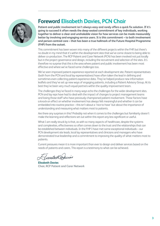<span id="page-4-0"></span>

# **Foreword Elisabeth Davies, PCN Chair**

**Patient and public involvement isn't always easy and rarely offers a quick fix solution. If it's going to succeed it often needs the deep-seated commitment of key individuals, working together to deliver a clear and unshakable vision for how services can be made measurably better by involving and engaging service users. It is this commitment – to both involvement and person-centred care – that has been a true hallmark of the Future Hospital Programme (FHP) from the outset.** 

This commitment has been woven into many of the different projects within the FHP, but there's no doubt in my mind that it's within the development sites that we've come closest to being able to deliver co-production. The RCP Patient and Carer Network (PCN) has been involved not just locally but in the project governance and design, including the recruitment and selection of the sites. It's therefore no surprise that this is the area where patient and public involvement has been most effective and where we've faced some challenges too.

We've seen improved patient experience reported at each development site. Patient representatives (both from the PCN and local lay representatives) have often taken the lead in defining and sometimes even collecting patient experience data. They've helped produce new information leaflets and they've set up new ways of engaging patients, including a Patient Advisory Group. At its best they've been very much equal partners within the quality improvement team.

The challenges they've faced in many ways echo the challenges for the wider development sites. PCN and lay reps have had to deal with the impact of changes to project management teams and losing those staff who have previously championed patient involvement. These factors have a knock-on effect on whether involvement has always felt meaningful and whether it can be embedded into routine practice – this isn't about a 'nice to have' but about the importance of understanding and measuring what matters most to patients.

Are there any surprises in this? Probably not when it comes to the challenges but familiarity doesn't make the learning and reflections set out within this report any less significant or useful.

What I am really struck by is that, as with so many aspects of healthcare, despite the systems and complexities, effectiveness so often comes down to the trust and the relationships that can be established between individuals. In the FHP I have met some exceptional individuals – our PCN development site leads, local lay representatives and clinicians and managers who have demonstrated true leadership and a commitment to improving the quality of what matters most to patients.

Current pressures mean it is more important than ever to design and deliver services based on the needs of patients and carers. This report is a testimony to what can be achieved.

malott

**Elisabeth Davies Chair, RCP Patient and Carer Network**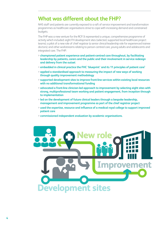## <span id="page-5-0"></span>**What was different about the FHP?**

NHS staff and patients are currently exposed to a raft of service improvement and transformation programmes as healthcare organisations strive to cope with increasing demand and constrained budgets.

The FHP was a new venture for the RCP. It represented a unique, comprehensive programme of activity which included: eight FH development sites (selected, supported local healthcare project teams); a pilot of a new role of chief registrar (a senior clinical leadership role for experienced trainee doctors); and other workstreams relating to person-centred care, young adults and adolescents and integrated care. The FHP:

- **> championed patient experience and patient-centred care throughout, by facilitating leadership by patients, carers and the public and their involvement in service redesign and delivery from the outset**
- **> embedded in clinical practice the FHC 'blueprint' and its 11 principles of patient care1**
- **> applied a standardised approach to measuring the impact of new ways of working through quality improvement methodology**
- **> supported development sites to improve front-line services within existing local resources with no additional transformational funding**
- **> advocated a front-line clinician-led approach to improvement by selecting eight sites with strong, multiprofessional team working and patient engagement, from inception through to implementation**
- **> led on the development of future clinical leaders through a bespoke leadership, management and improvement programme as part of the chief registrar project**
- **> used the expertise, resource and influence of a medical royal college to support improved patient care**
- **> commissioned independent evaluation by academic organisations.**

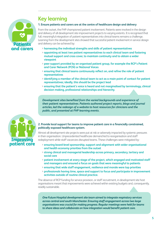<span id="page-6-0"></span>

# **Key learning**

#### **1. Ensure patients and carers are at the centre of healthcare design and delivery**

From the outset, the FHP championed patient involvement. Patients were involved in the design and delivery of all development site improvement projects to varying extents. It is recognised that full, meaningful integration of patient representatives into clinical teams remains a challenge. Learning from the development sites showed that successful patient involvement in service design and delivery can be achieved by:

- **> harnessing the individual strengths and skills of patient representatives**
- **> appointing at least two patient representatives to each clinical team and fostering mutual support and cross cover, to maintain continuity and to obtain a wider viewpoint**
- **> peer support provided by an organised patient group, for example the RCP's Patient and Carer Network (PCN) or National Voices**
- **> ensuring that clinical teams continuously reflect on, and refine the role of patient representatives**
- **> identifying a member of the clinical team to act as a main point of contact for patient representatives; ideally, this should be the project lead**
- **> ensuring that the patient's voice is heard and not marginalised by terminology, clinical decision making, professional relationships and hierarchy.**

*Development sites benefited from the varied backgrounds and experience of their patient representatives. Patients authored project reports, blogs and journal articles, led the redesign of a website to host resources for clinicians and the public, and presented at FHP learning events.* 



#### **2. Provide local support for teams to improve patient care in a financially constrained, politically exposed healthcare system.**

Almost all development site projects were put at risk or adversely impacted by systemic pressures in their organisation. Unprecedented healthcare demand led to reorganisation and staff redeployment while staff vacancies disrupted teams. These challenges were mitigated by:

- **> ensuring board-level sponsorship, support and alignment with wider organisational and health economy priorities from the outset**
- **> strong clinical and managerial leadership across primary, secondary, tertiary and social care**
- **> patient involvement at every stage of the project, which engaged and motivated staff and managers and ensured a focus on goals that were meaningful to patients**
- **> ensuring that wide staff engagement, resilience and morale were top priorities**
- **> professionals having time, space and support to focus and participate in improvement activities outside of routine clinical practice.**

The absence of RCP funding for service provision, or staff recruitment, in development site host organisations meant that improvements were achieved within existing budgets and, consequently, readily sustainable.

*One Future Hospital development site team aimed to integrate respiratory services across central and south Manchester. Ensuring staff engagement across two large organisations was crucial for making progress. Regular meetings were held for teams to share ideas and collaborate on how integration would benefit patient care.*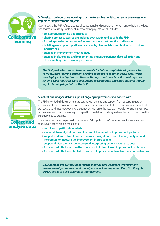

#### **3. Develop a collaborative learning structure to enable healthcare teams to successfully implement improvement projects**

Over its span, the FHP refined a series of educational and supportive interventions to help individuals and teams successfully implement improvement projects, which included:

- **> collaborative learning opportunities**
- **> sharing project successes and failures both within and outside the FHP**
- **> fostering a wider community of interest to share best practice and learning**
- **> building peer support, particularly valued by chief registrars embarking on a unique and new role**
- **> training in improvement methodology**
- **> training in developing and implementing patient experience data collection and disseminating this to drive improvement.**

*The FHP facilitated regular learning events for Future Hospital development sites to meet, share learning, network and find solutions to common challenges, which were highly valued by teams. Likewise, through the Future Hospital chief registrar scheme, chief registrars were encouraged to collaborate and share learning through regular training days held at the RCP.*

#### **4. Collect and analyse data to support ongoing improvements to patient care**



The FHP provided all development site teams with training and support from experts in quality improvement and data analysis from the outset. Teams which included a local data analyst utilised statistically valid methodology more extensively, with an enhanced ability to demonstrate the impact of their interventions. These analysts helped to upskill clinical colleagues to utilise data to improve the care delivered to patients.

There remains limited expertise in the wider NHS in applying the 'measurement for improvement' model. Significant input is required to:

- **> recruit and upskill data analysts**
- **> embed data analysts into clinical teams at the outset of improvement projects**
- **> support and train clinical teams to ensure the right data are collected, analysed and interpreted to measure the improvement in care sought**
- **> support clinical teams in collecting and interpreting patient experience data**
- **> focus on data that measure the true impact of clinically-led improvement or change**
- **> focus on data that enable clinical teams to improve patient-centred care and outcomes.**

*Development site projects adopted the Institute for Healthcare Improvement measurement for improvement model, which includes repeated Plan, Do, Study, Act (PDSA) cycles to drive continuous improvement.*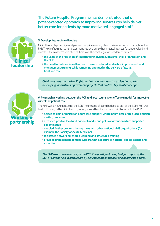**The Future Hospital Programme has demonstrated that a patient-centred approach to improving services can help deliver better care for patients by more motivated, engaged staff.**



#### **5. Develop future clinical leaders**

Clinical leadership, prestige and professional pride were significant drivers for success throughout the FHP. The chief registrar scheme was launched at a time when medical trainees felt undervalued and morale in the workforce was at an all-time low. The chief registrar pilot demonstrated:

- **> the value of the role of chief registrar for individuals, patients, their organisation and the NHS**
- **> the need for future clinical leaders to have structured leadership, improvement and management training, while remaining engaged in the delivery of acute, front-line care.**

*Chief registrars are the NHS's future clinical leaders and take a leading role in developing innovative improvement projects that address key local challenges.* 



#### **6. Partnership working between the RCP and local teams is an effective model for improving aspects of patient care**

The FHP was a new initiative for the RCP. The prestige of being badged as part of the RCP's FHP was held in high regard by clinical teams, managers and healthcare boards. Affiliation with the RCP:

- **> helped to gain organisation board-level support, which in turn accelerated local decision making processes**
- **> attracted positive local and national media and political attention which supported dissemination**
- **> enabled further progress through links with other national NHS organisations (for example the Society of Acute Medicine)**
- **> facilitated networking, shared learning and structured training**
- **> provided project management support, with exposure to national clinical leaders and expertise.**

*The FHP was a new initiative for the RCP. The prestige of being badged as part of the RCP's FHP was held in high regard by clinical teams, managers and healthcare boards.*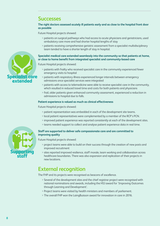### <span id="page-9-0"></span>**Successes**

#### **The right doctors assessed acutely ill patients early and as close to the hospital front door as possible**

Future Hospital projects showed:

- > patients on surgical pathways who had access to acute physicians and geriatricians, used ambulatory care more and had shorter hospital lengths of stay
- > patients receiving comprehensive geriatric assessment from a specialist multidisciplinary team tended to have a shorter length of stay in hospital.

#### **Specialist medical care extended seamlessly into the community so that patients at home, or close to home benefit from integrated specialist and community-based care**

Future Hospital projects showed:

- > patients with frailty who received specialist care in the community experienced fewer emergency visits to hospital
- > patients with respiratory illness experienced longer intervals between emergency admissions once specialist services were integrated
- > patients with access to telemedicine were able to receive specialist care in the community, which resulted in reduced travel time and costs for both patients and physicians
- > frail, older patients given enhanced community assessment, experienced a reduction in admissions to hospital due to falls.

#### **Patient experience is valued as much as clinical effectiveness**

Future Hospital projects showed:

- > patient representation was embedded in each of the development site teams.
- > local patient representatives were complemented by a member of the RCP's PCN.
- > improved patient experience was reported consistently at each of the development sites.
- > teams needed support to collect and analyse patient experience data in real time.

#### **Staff are supported to deliver safe compassionate care and are committed to improving quality**

Future Hospital projects showed:

- > project teams were able to build on their success through the creation of new posts and improved recruitment
- > sites reported improved resilience, staff morale, team working and collaboration across healthcare boundaries. There was also expansion and replication of their projects in new locations.

# **External recognition**

The FHP and its projects were recognised as beacons of excellence.

- > Several of the development sites and the chief registrar project were recognised with national nominations and awards, including the HSJ award for 'Improving Outcomes through Learning and Development'.
- > Project teams were visited by health ministers and members of parliament.
- > The overall FHP won the LaingBuisson award for innovation in care in 2016.



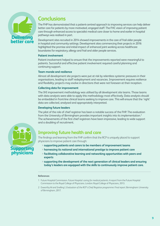<span id="page-10-0"></span>

# **Conclusions**

The FHP has demonstrated that a patient-centred approach to improving services can help deliver better care for patients by more motivated, engaged staff. The FHC vision of improving patient care through enhanced access to specialist medical care closer to home and earlier in hospital pathways was realised in part.

Development sites recruited in 2014 showed improvements in the care of frail older people in hospital and community settings. Development sites commencing their projects in 2016 highlighted the promise and initial impact of enhanced joint working across healthcare boundaries for respiratory, allergy and frail and older people services.

#### **Patient involvement**

Patient involvement helped to ensure that the improvements reported were meaningful to patients. Successful and effective patient involvement required careful planning and continuing support.

#### **Team morale and resilience**

Almost all development site projects were put at risk by relentless systemic pressures in their organisations, leading to staff redeployment and vacancies. Improvement requires resilience and flexibility; projects may evolve in directions that were not foreseen at their inception.

#### **Collecting data for improvement**

The IHI improvement methodology was utilised by all development site teams. Those teams with data analysts were able to apply this methodology most effectively. Data analysts should be embedded in front-line clinical teams seeking to improve care. This will ensure that the 'right' data are collected, analysed and appropriately interpreted.

#### **Developing future leaders**

The pilot of the role of chief registrar has been a notable success of the FHP. The evaluation from the University of Birmingham provides important insights into its implementation.<sup>2</sup> The achievements of the first chief registrars have been impressive, leading to wide support and a doubling of recruitment.

### **Improving future health and care**

The findings and learning from the FHP confirm that the RCP is uniquely placed to support physicians to improve patient care through:

- **> supporting patients and carers to be members of improvement teams**
- **> harnessing its national and international prestige to improve patient care**
- **> facilitating collaborative learning and networking opportunities with peers and experts**
- **> supporting the development of the next generation of clinical leaders and ensuring today's leaders are equipped with the skills to continuously improve patient care.**

#### **References**

- 1 Future Hospital Commission. *Future Hospital: caring for medical patients.* A report from the Future Hospital Commission to the Royal College of Physicians. London: Royal College of Physicians, 2013.
- 2 Exworthy M and Snelling I. *Evaluation of the RCP's Chief Registrar programme: Final report*. Birmingham: University of Birmingham, 2017.